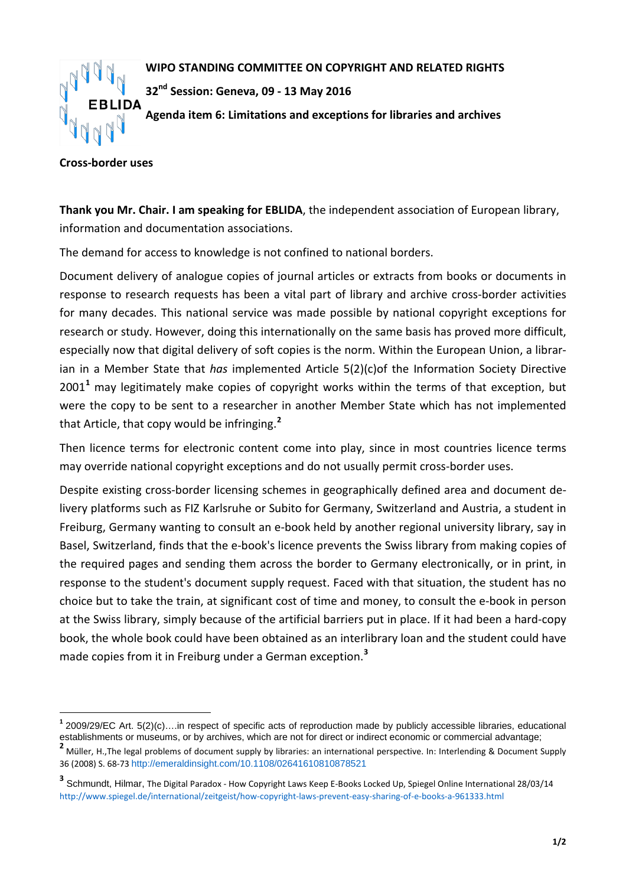

**WIPO STANDING COMMITTEE ON COPYRIGHT AND RELATED RIGHTS**

**32nd Session: Geneva, 09 - 13 May 2016**

**Agenda item 6: Limitations and exceptions for libraries and archives**

## **Cross-border uses**

**Thank you Mr. Chair. I am speaking for EBLIDA**, the independent association of European library, information and documentation associations.

The demand for access to knowledge is not confined to national borders.

Document delivery of analogue copies of journal articles or extracts from books or documents in response to research requests has been a vital part of library and archive cross-border activities for many decades. This national service was made possible by national copyright exceptions for research or study. However, doing this internationally on the same basis has proved more difficult, especially now that digital delivery of soft copies is the norm. Within the European Union, a librarian in a Member State that *has* implemented Article 5(2)(c)of the Information Society Directive 2001**[1](#page-0-0)** may legitimately make copies of copyright works within the terms of that exception, but were the copy to be sent to a researcher in another Member State which has not implemented that Article, that copy would be infringing.**[2](#page-0-1)**

Then licence terms for electronic content come into play, since in most countries licence terms may override national copyright exceptions and do not usually permit cross-border uses.

Despite existing cross-border licensing schemes in geographically defined area and document delivery platforms such as FIZ Karlsruhe or Subito for Germany, Switzerland and Austria, a student in Freiburg, Germany wanting to consult an e-book held by another regional university library, say in Basel, Switzerland, finds that the e-book's licence prevents the Swiss library from making copies of the required pages and sending them across the border to Germany electronically, or in print, in response to the student's document supply request. Faced with that situation, the student has no choice but to take the train, at significant cost of time and money, to consult the e-book in person at the Swiss library, simply because of the artificial barriers put in place. If it had been a hard-copy book, the whole book could have been obtained as an interlibrary loan and the student could have made copies from it in Freiburg under a German exception.**[3](#page-0-2)**

<span id="page-0-0"></span>**<sup>1</sup>** 2009/29/EC Art. 5(2)(c)….in respect of specific acts of reproduction made by publicly accessible libraries, educational establishments or museums, or by archives, which are not for direct or indirect economic or commercial advantage;

<span id="page-0-1"></span>**<sup>2</sup>** Müller, H.,The legal problems of document supply by libraries: an international perspective. In: Interlending & Document Supply 36 (2008) S. 68-73 <http://emeraldinsight.com/10.1108/02641610810878521>

<span id="page-0-2"></span>**<sup>3</sup>** Schmundt, Hilmar, The Digital Paradox - How Copyright Laws Keep E-Books Locked Up, Spiegel Online International 28/03/14 <http://www.spiegel.de/international/zeitgeist/how-copyright-laws-prevent-easy-sharing-of-e-books-a-961333.html>